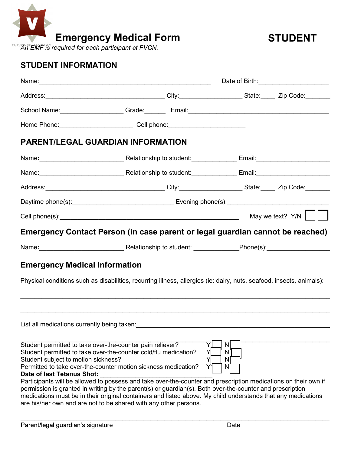

| An EMF is required for each participant at FVCN.                  | <b>Emergency Medical Form</b>                                                                                                                                                                                                                                                                                                                                                                                                                                                                                                                                                                                    |                                 | <b>STUDENT</b>                                                                                                                                                                                                                 |
|-------------------------------------------------------------------|------------------------------------------------------------------------------------------------------------------------------------------------------------------------------------------------------------------------------------------------------------------------------------------------------------------------------------------------------------------------------------------------------------------------------------------------------------------------------------------------------------------------------------------------------------------------------------------------------------------|---------------------------------|--------------------------------------------------------------------------------------------------------------------------------------------------------------------------------------------------------------------------------|
| <b>STUDENT INFORMATION</b>                                        |                                                                                                                                                                                                                                                                                                                                                                                                                                                                                                                                                                                                                  |                                 |                                                                                                                                                                                                                                |
|                                                                   |                                                                                                                                                                                                                                                                                                                                                                                                                                                                                                                                                                                                                  | Date of Birth: <u>contained</u> |                                                                                                                                                                                                                                |
|                                                                   |                                                                                                                                                                                                                                                                                                                                                                                                                                                                                                                                                                                                                  |                                 |                                                                                                                                                                                                                                |
|                                                                   |                                                                                                                                                                                                                                                                                                                                                                                                                                                                                                                                                                                                                  |                                 |                                                                                                                                                                                                                                |
|                                                                   | Home Phone: Cell phone: Cell phone:                                                                                                                                                                                                                                                                                                                                                                                                                                                                                                                                                                              |                                 |                                                                                                                                                                                                                                |
|                                                                   | <b>PARENT/LEGAL GUARDIAN INFORMATION</b>                                                                                                                                                                                                                                                                                                                                                                                                                                                                                                                                                                         |                                 |                                                                                                                                                                                                                                |
| Name: Name:                                                       | Relationship to student:                                                                                                                                                                                                                                                                                                                                                                                                                                                                                                                                                                                         |                                 | Email: Email: Email: Email: Email: Email: Email: Email: Email: Email: Email: Email: Email: Email: Email: Email: Email: Email: Email: Email: Email: Email: Email: Email: Email: Email: Email: Email: Email: Email: Email: Email |
|                                                                   | Name: Name: Name: Name: Name: Name: Name: Name: Name: Name: Name: Name: Name: Name: Name: Name: Name: Name: Name: Name: Name: Name: Name: Name: Name: Name: Name: Name: Name: Name: Name: Name: Name: Name: Name: Name: Name:                                                                                                                                                                                                                                                                                                                                                                                    |                                 |                                                                                                                                                                                                                                |
| Address:                                                          | City:                                                                                                                                                                                                                                                                                                                                                                                                                                                                                                                                                                                                            | <b>Example 2018</b> State:      | Zip Code:                                                                                                                                                                                                                      |
|                                                                   |                                                                                                                                                                                                                                                                                                                                                                                                                                                                                                                                                                                                                  |                                 |                                                                                                                                                                                                                                |
|                                                                   |                                                                                                                                                                                                                                                                                                                                                                                                                                                                                                                                                                                                                  |                                 | May we text? $Y/N$                                                                                                                                                                                                             |
|                                                                   | Emergency Contact Person (in case parent or legal guardian cannot be reached)                                                                                                                                                                                                                                                                                                                                                                                                                                                                                                                                    |                                 |                                                                                                                                                                                                                                |
|                                                                   | Name: Name: Name: Nelationship to student: Name: Name: Name: Name: Name: Name: Name: Name: Name: Name: Name: N                                                                                                                                                                                                                                                                                                                                                                                                                                                                                                   |                                 |                                                                                                                                                                                                                                |
| <b>Emergency Medical Information</b>                              |                                                                                                                                                                                                                                                                                                                                                                                                                                                                                                                                                                                                                  |                                 |                                                                                                                                                                                                                                |
|                                                                   | Physical conditions such as disabilities, recurring illness, allergies (ie: dairy, nuts, seafood, insects, animals):                                                                                                                                                                                                                                                                                                                                                                                                                                                                                             |                                 |                                                                                                                                                                                                                                |
|                                                                   | List all medications currently being taken:<br><u>List all medications currently being taken:</u>                                                                                                                                                                                                                                                                                                                                                                                                                                                                                                                |                                 |                                                                                                                                                                                                                                |
| Student subject to motion sickness?<br>Date of last Tetanus Shot: | Student permitted to take over-the-counter pain reliever?<br>Student permitted to take over-the-counter cold/flu medication?<br>Permitted to take over-the-counter motion sickness medication?<br>Participants will be allowed to possess and take over-the-counter and prescription medications on their own if<br>permission is granted in writing by the parent(s) or guardian(s). Both over-the-counter and prescription<br>medications must be in their original containers and listed above. My child understands that any medications<br>are his/her own and are not to be shared with any other persons. | N1<br>Nſ<br>N                   |                                                                                                                                                                                                                                |